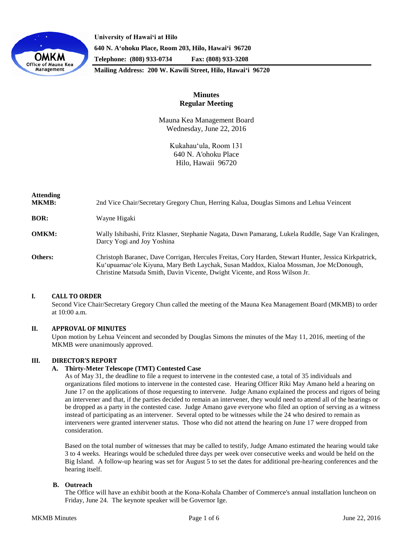

**University of Hawaiʻi at Hilo 640 N. A'ohoku Place, Room 203, Hilo, Hawai'i 96720 Telephone: (808) 933-0734 Fax: (808) 933-3208**

**Mailing Address: 200 W. Kawili Street, Hilo, Hawai'i 96720**

# **Minutes Regular Meeting**

Mauna Kea Management Board Wednesday, June 22, 2016

> Kukahauʻula, Room 131 640 N. A'ohoku Place Hilo, Hawaii 96720

| <b>Attending</b><br><b>MKMB:</b> | 2nd Vice Chair/Secretary Gregory Chun, Herring Kalua, Douglas Simons and Lehua Veincent                                                                                                                                                                                        |
|----------------------------------|--------------------------------------------------------------------------------------------------------------------------------------------------------------------------------------------------------------------------------------------------------------------------------|
| <b>BOR:</b>                      | Wayne Higaki                                                                                                                                                                                                                                                                   |
| <b>OMKM:</b>                     | Wally Ishibashi, Fritz Klasner, Stephanie Nagata, Dawn Pamarang, Lukela Ruddle, Sage Van Kralingen,<br>Darcy Yogi and Joy Yoshina                                                                                                                                              |
| <b>Others:</b>                   | Christoph Baranec, Dave Corrigan, Hercules Freitas, Cory Harden, Stewart Hunter, Jessica Kirkpatrick,<br>Ku'upuamae'ole Kiyuna, Mary Beth Laychak, Susan Maddox, Kialoa Mossman, Joe McDonough,<br>Christine Matsuda Smith, Davin Vicente, Dwight Vicente, and Ross Wilson Jr. |

## **I. CALL TO ORDER**

Second Vice Chair/Secretary Gregory Chun called the meeting of the Mauna Kea Management Board (MKMB) to order at 10:00 a.m.

#### **II. APPROVAL OF MINUTES**

Upon motion by Lehua Veincent and seconded by Douglas Simons the minutes of the May 11, 2016, meeting of the MKMB were unanimously approved.

#### **III. DIRECTOR'S REPORT**

#### **A. Thirty-Meter Telescope (TMT) Contested Case**

As of May 31, the deadline to file a request to intervene in the contested case, a total of 35 individuals and organizations filed motions to intervene in the contested case. Hearing Officer Riki May Amano held a hearing on June 17 on the applications of those requesting to intervene. Judge Amano explained the process and rigors of being an intervener and that, if the parties decided to remain an intervener, they would need to attend all of the hearings or be dropped as a party in the contested case. Judge Amano gave everyone who filed an option of serving as a witness instead of participating as an intervener. Several opted to be witnesses while the 24 who desired to remain as interveners were granted intervener status. Those who did not attend the hearing on June 17 were dropped from consideration.

Based on the total number of witnesses that may be called to testify, Judge Amano estimated the hearing would take 3 to 4 weeks. Hearings would be scheduled three days per week over consecutive weeks and would be held on the Big Island. A follow-up hearing was set for August 5 to set the dates for additional pre-hearing conferences and the hearing itself.

#### **B. Outreach**

The Office will have an exhibit booth at the Kona-Kohala Chamber of Commerce's annual installation luncheon on Friday, June 24. The keynote speaker will be Governor Ige.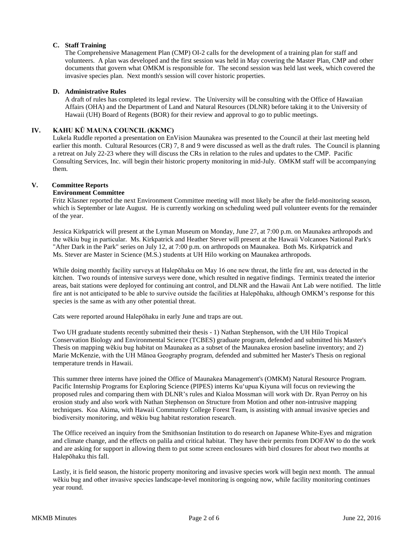## **C. Staff Training**

The Comprehensive Management Plan (CMP) OI-2 calls for the development of a training plan for staff and volunteers. A plan was developed and the first session was held in May covering the Master Plan, CMP and other documents that govern what OMKM is responsible for. The second session was held last week, which covered the invasive species plan. Next month's session will cover historic properties.

### **D. Administrative Rules**

A draft of rules has completed its legal review. The University will be consulting with the Office of Hawaiian Affairs (OHA) and the Department of Land and Natural Resources (DLNR) before taking it to the University of Hawaii (UH) Board of Regents (BOR) for their review and approval to go to public meetings.

## **IV. KAHU KŪ MAUNA COUNCIL (KKMC)**

Lukela Ruddle reported a presentation on EnVision Maunakea was presented to the Council at their last meeting held earlier this month. Cultural Resources (CR) 7, 8 and 9 were discussed as well as the draft rules. The Council is planning a retreat on July 22-23 where they will discuss the CRs in relation to the rules and updates to the CMP. Pacific Consulting Services, Inc. will begin their historic property monitoring in mid-July. OMKM staff will be accompanying them.

#### **V. Committee Reports**

#### **Environment Committee**

Fritz Klasner reported the next Environment Committee meeting will most likely be after the field-monitoring season, which is September or late August. He is currently working on scheduling weed pull volunteer events for the remainder of the year.

Jessica Kirkpatrick will present at the Lyman Museum on Monday, June 27, at 7:00 p.m. on Maunakea arthropods and the wēkiu bug in particular. Ms. Kirkpatrick and Heather Stever will present at the Hawaii Volcanoes National Park's "After Dark in the Park" series on July 12, at 7:00 p.m. on arthropods on Maunakea. Both Ms. Kirkpatrick and Ms. Stever are Master in Science (M.S.) students at UH Hilo working on Maunakea arthropods.

While doing monthly facility surveys at Halepōhaku on May 16 one new threat, the little fire ant, was detected in the kitchen. Two rounds of intensive surveys were done, which resulted in negative findings. Terminix treated the interior areas, bait stations were deployed for continuing ant control, and DLNR and the Hawaii Ant Lab were notified. The little fire ant is not anticipated to be able to survive outside the facilities at Halepōhaku, although OMKM's response for this species is the same as with any other potential threat.

Cats were reported around Halepōhaku in early June and traps are out.

Two UH graduate students recently submitted their thesis - 1) Nathan Stephenson, with the UH Hilo Tropical Conservation Biology and Environmental Science (TCBES) graduate program, defended and submitted his Master's Thesis on mapping wēkiu bug habitat on Maunakea as a subset of the Maunakea erosion baseline inventory; and 2) Marie McKenzie, with the UH Mānoa Geography program, defended and submitted her Master's Thesis on regional temperature trends in Hawaii.

This summer three interns have joined the Office of Maunakea Management's (OMKM) Natural Resource Program. Pacific Internship Programs for Exploring Science (PIPES) interns Kuʻupua Kiyuna will focus on reviewing the proposed rules and comparing them with DLNR's rules and Kialoa Mossman will work with Dr. Ryan Perroy on his erosion study and also work with Nathan Stephenson on *S*tructure from Motion and other non-intrusive mapping techniques. Koa Akima, with Hawaii Community College Forest Team, is assisting with annual invasive species and biodiversity monitoring, and wēkiu bug habitat restoration research.

The Office received an inquiry from the Smithsonian Institution to do research on Japanese White-Eyes and migration and climate change, and the effects on palila and critical habitat. They have their permits from DOFAW to do the work and are asking for support in allowing them to put some screen enclosures with bird closures for about two months at Halepōhaku this fall.

Lastly, it is field season, the historic property monitoring and invasive species work will begin next month. The annual wēkiu bug and other invasive species landscape-level monitoring is ongoing now, while facility monitoring continues year round.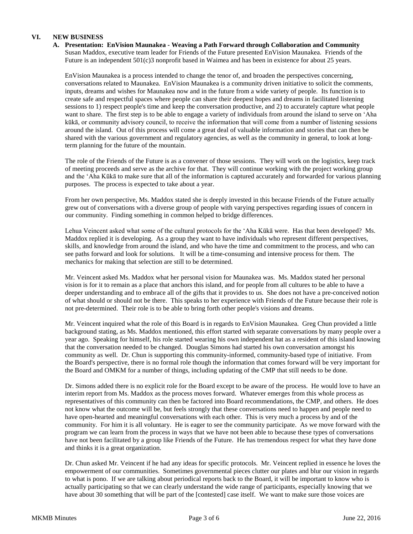# **VI. NEW BUSINESS**

**A. Presentation: EnVision Maunakea - Weaving a Path Forward through Collaboration and Community** Susan Maddox, executive team leader for Friends of the Future presented EnVision Maunakea. Friends of the Future is an independent 501(c)3 nonprofit based in Waimea and has been in existence for about 25 years.

EnVision Maunakea is a process intended to change the tenor of, and broaden the perspectives concerning, conversations related to Maunakea. EnVision Maunakea is a community driven initiative to solicit the comments, inputs, dreams and wishes for Maunakea now and in the future from a wide variety of people. Its function is to create safe and respectful spaces where people can share their deepest hopes and dreams in facilitated listening sessions to 1) respect people's time and keep the conversation productive, and 2) to accurately capture what people want to share. The first step is to be able to engage a variety of individuals from around the island to serve on ʻAha kūkā, or community advisory council, to receive the information that will come from a number of listening sessions around the island. Out of this process will come a great deal of valuable information and stories that can then be shared with the various government and regulatory agencies, as well as the community in general, to look at longterm planning for the future of the mountain.

The role of the Friends of the Future is as a convener of those sessions. They will work on the logistics, keep track of meeting proceeds and serve as the archive for that. They will continue working with the project working group and the ʻAha Kūkā to make sure that all of the information is captured accurately and forwarded for various planning purposes. The process is expected to take about a year.

From her own perspective, Ms. Maddox stated she is deeply invested in this because Friends of the Future actually grew out of conversations with a diverse group of people with varying perspectives regarding issues of concern in our community. Finding something in common helped to bridge differences.

Lehua Veincent asked what some of the cultural protocols for the ʻAha Kūkā were. Has that been developed? Ms. Maddox replied it is developing. As a group they want to have individuals who represent different perspectives, skills, and knowledge from around the island, and who have the time and commitment to the process, and who can see paths forward and look for solutions. It will be a time-consuming and intensive process for them. The mechanics for making that selection are still to be determined.

Mr. Veincent asked Ms. Maddox what her personal vision for Maunakea was. Ms. Maddox stated her personal vision is for it to remain as a place that anchors this island, and for people from all cultures to be able to have a deeper understanding and to embrace all of the gifts that it provides to us. She does not have a pre-conceived notion of what should or should not be there. This speaks to her experience with Friends of the Future because their role is not pre-determined. Their role is to be able to bring forth other people's visions and dreams.

Mr. Veincent inquired what the role of this Board is in regards to EnVision Maunakea. Greg Chun provided a little background stating, as Ms. Maddox mentioned, this effort started with separate conversations by many people over a year ago. Speaking for himself, his role started wearing his own independent hat as a resident of this island knowing that the conversation needed to be changed. Douglas Simons had started his own conversation amongst his community as well. Dr. Chun is supporting this community-informed, community-based type of initiative. From the Board's perspective, there is no formal role though the information that comes forward will be very important for the Board and OMKM for a number of things, including updating of the CMP that still needs to be done.

Dr. Simons added there is no explicit role for the Board except to be aware of the process. He would love to have an interim report from Ms. Maddox as the process moves forward. Whatever emerges from this whole process as representatives of this community can then be factored into Board recommendations, the CMP, and others. He does not know what the outcome will be, but feels strongly that these conversations need to happen and people need to have open-hearted and meaningful conversations with each other. This is very much a process by and of the community. For him it is all voluntary. He is eager to see the community participate. As we move forward with the program we can learn from the process in ways that we have not been able to because these types of conversations have not been facilitated by a group like Friends of the Future. He has tremendous respect for what they have done and thinks it is a great organization.

Dr. Chun asked Mr. Veincent if he had any ideas for specific protocols. Mr. Veincent replied in essence he loves the empowerment of our communities. Sometimes governmental pieces clutter our plates and blur our vision in regards to what is pono. If we are talking about periodical reports back to the Board, it will be important to know who is actually participating so that we can clearly understand the wide range of participants, especially knowing that we have about 30 something that will be part of the [contested] case itself. We want to make sure those voices are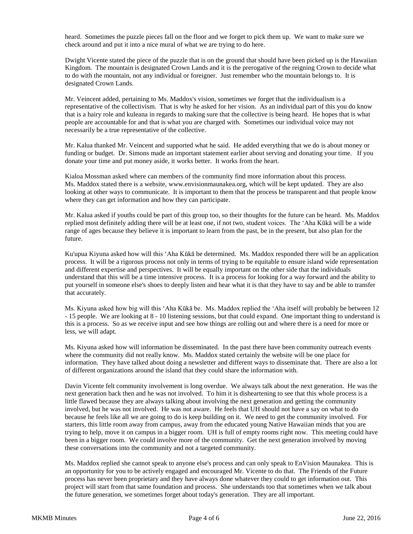heard. Sometimes the puzzle pieces fall on the floor and we forget to pick them up. We want to make sure we check around and put it into a nice mural of what we are trying to do here.

Dwight Vicente stated the piece of the puzzle that is on the ground that should have been picked up is the Hawaiian Kingdom. The mountain is designated Crown Lands and it is the prerogative of the reigning Crown to decide what to do with the mountain, not any individual or foreigner. Just remember who the mountain belongs to. It is designated Crown Lands.

Mr. Veincent added, pertaining to Ms. Maddox's vision, sometimes we forget that the individualism is a representative of the collectivism. That is why he asked for her vision. As an individual part of this you do know that is a hairy role and kuleana in regards to making sure that the collective is being heard. He hopes that is what people are accountable for and that is what you are charged with. Sometimes our individual voice may not necessarily be a true representative of the collective.

Mr. Kalua thanked Mr. Veincent and supported what he said. He added everything that we do is about money or funding or budget. Dr. Simons made an important statement earlier about serving and donating your time. If you donate your time and put money aside, it works better. It works from the heart.

Kialoa Mossman asked where can members of the community find more information about this process. Ms. Maddox stated there is a website, www.envisionmaunakea.org, which will be kept updated. They are also looking at other ways to communicate. It is important to them that the process be transparent and that people know where they can get information and how they can participate.

Mr. Kalua asked if youths could be part of this group too, so their thoughts for the future can be heard. Ms. Maddox replied most definitely adding there will be at least one, if not two, student voices. The ʻAha Kūkā will be a wide range of ages because they believe it is important to learn from the past, be in the present, but also plan for the future.

Ku'upua Kiyuna asked how will this ʻAha Kūkā be determined. Ms. Maddox responded there will be an application process. It will be a rigorous process not only in terms of trying to be equitable to ensure island wide representation and different expertise and perspectives. It will be equally important on the other side that the individuals understand that this will be a time intensive process. It is a process for looking for a way forward and the ability to put yourself in someone else's shoes to deeply listen and hear what it is that they have to say and be able to transfer that accurately.

Ms. Kiyuna asked how big will this ʻAha Kūkā be. Ms. Maddox replied the ʻAha itself will probably be between 12 - 15 people. We are looking at 8 - 10 listening sessions, but that could expand. One important thing to understand is this is a process. So as we receive input and see how things are rolling out and where there is a need for more or less, we will adapt.

Ms. Kiyuna asked how will information be disseminated. In the past there have been community outreach events where the community did not really know. Ms. Maddox stated certainly the website will be one place for information. They have talked about doing a newsletter and different ways to disseminate that. There are also a lot of different organizations around the island that they could share the information with.

Davin Vicente felt community involvement is long overdue. We always talk about the next generation. He was the next generation back then and he was not involved. To him it is disheartening to see that this whole process is a little flawed because they are always talking about involving the next generation and getting the community involved, but he was not involved. He was not aware. He feels that UH should not have a say on what to do because he feels like all we are going to do is keep building on it. We need to get the community involved. For starters, this little room away from campus, away from the educated young Native Hawaiian minds that you are trying to help, move it on campus in a bigger room. UH is full of empty rooms right now. This meeting could have been in a bigger room. We could involve more of the community. Get the next generation involved by moving these conversations into the community and not a targeted community.

Ms. Maddox replied she cannot speak to anyone else's process and can only speak to EnVision Maunakea. This is an opportunity for you to be actively engaged and encouraged Mr. Vicente to do that. The Friends of the Future process has never been proprietary and they have always done whatever they could to get information out. This project will start from that same foundation and process. She understands too that sometimes when we talk about the future generation, we sometimes forget about today's generation. They are all important.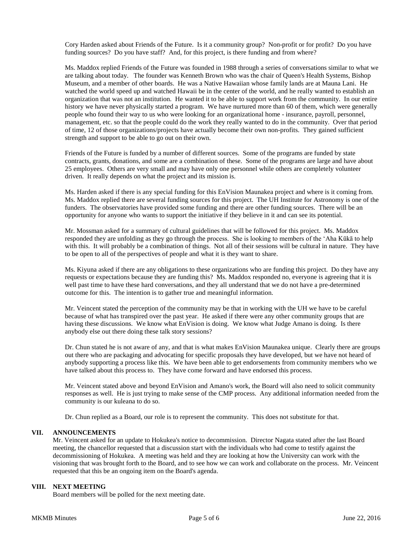Cory Harden asked about Friends of the Future. Is it a community group? Non-profit or for profit? Do you have funding sources? Do you have staff? And, for this project, is there funding and from where?

Ms. Maddox replied Friends of the Future was founded in 1988 through a series of conversations similar to what we are talking about today. The founder was Kenneth Brown who was the chair of Queen's Health Systems, Bishop Museum, and a member of other boards. He was a Native Hawaiian whose family lands are at Mauna Lani. He watched the world speed up and watched Hawaii be in the center of the world, and he really wanted to establish an organization that was not an institution. He wanted it to be able to support work from the community. In our entire history we have never physically started a program. We have nurtured more than 60 of them, which were generally people who found their way to us who were looking for an organizational home - insurance, payroll, personnel, management, etc. so that the people could do the work they really wanted to do in the community. Over that period of time, 12 of those organizations/projects have actually become their own non-profits. They gained sufficient strength and support to be able to go out on their own.

Friends of the Future is funded by a number of different sources. Some of the programs are funded by state contracts, grants, donations, and some are a combination of these. Some of the programs are large and have about 25 employees. Others are very small and may have only one personnel while others are completely volunteer driven. It really depends on what the project and its mission is.

Ms. Harden asked if there is any special funding for this EnVision Maunakea project and where is it coming from. Ms. Maddox replied there are several funding sources for this project. The UH Institute for Astronomy is one of the funders. The observatories have provided some funding and there are other funding sources. There will be an opportunity for anyone who wants to support the initiative if they believe in it and can see its potential.

Mr. Mossman asked for a summary of cultural guidelines that will be followed for this project. Ms. Maddox responded they are unfolding as they go through the process. She is looking to members of the ʻAha Kūkā to help with this. It will probably be a combination of things. Not all of their sessions will be cultural in nature. They have to be open to all of the perspectives of people and what it is they want to share.

Ms. Kiyuna asked if there are any obligations to these organizations who are funding this project. Do they have any requests or expectations because they are funding this? Ms. Maddox responded no, everyone is agreeing that it is well past time to have these hard conversations, and they all understand that we do not have a pre-determined outcome for this. The intention is to gather true and meaningful information.

Mr. Veincent stated the perception of the community may be that in working with the UH we have to be careful because of what has transpired over the past year. He asked if there were any other community groups that are having these discussions. We know what EnVision is doing. We know what Judge Amano is doing. Is there anybody else out there doing these talk story sessions?

Dr. Chun stated he is not aware of any, and that is what makes EnVision Maunakea unique. Clearly there are groups out there who are packaging and advocating for specific proposals they have developed, but we have not heard of anybody supporting a process like this. We have been able to get endorsements from community members who we have talked about this process to. They have come forward and have endorsed this process.

Mr. Veincent stated above and beyond EnVision and Amano's work, the Board will also need to solicit community responses as well. He is just trying to make sense of the CMP process. Any additional information needed from the community is our kuleana to do so.

Dr. Chun replied as a Board, our role is to represent the community. This does not substitute for that.

## **VII. ANNOUNCEMENTS**

Mr. Veincent asked for an update to Hokukea's notice to decommission. Director Nagata stated after the last Board meeting, the chancellor requested that a discussion start with the individuals who had come to testify against the decommissioning of Hokukea. A meeting was held and they are looking at how the University can work with the visioning that was brought forth to the Board, and to see how we can work and collaborate on the process. Mr. Veincent requested that this be an ongoing item on the Board's agenda.

## **VIII. NEXT MEETING**

Board members will be polled for the next meeting date.